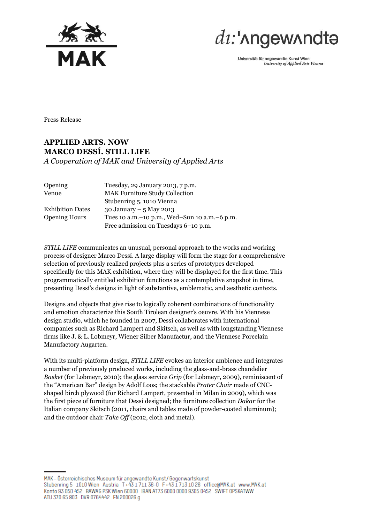



Universität für angewandte Kunst Wien University of Applied Arts Vienna

Press Release

## **APPLIED ARTS. NOW MARCO DESSÍ. STILL LIFE** *A Cooperation of MAK and University of Applied Arts*

| Opening                 | Tuesday, 29 January 2013, 7 p.m.                 |
|-------------------------|--------------------------------------------------|
| Venue                   | <b>MAK Furniture Study Collection</b>            |
|                         | Stubenring 5, 1010 Vienna                        |
| <b>Exhibition Dates</b> | 30 January $-5$ May 2013                         |
| <b>Opening Hours</b>    | Tues 10 a.m. - 10 p.m., Wed-Sun 10 a.m. - 6 p.m. |
|                         | Free admission on Tuesdays 6-10 p.m.             |

*STILL LIFE* communicates an unusual, personal approach to the works and working process of designer Marco Dessí. A large display will form the stage for a comprehensive selection of previously realized projects plus a series of prototypes developed specifically for this MAK exhibition, where they will be displayed for the first time. This programmatically entitled exhibition functions as a contemplative snapshot in time, presenting Dessí's designs in light of substantive, emblematic, and aesthetic contexts.

Designs and objects that give rise to logically coherent combinations of functionality and emotion characterize this South Tirolean designer's oeuvre. With his Viennese design studio, which he founded in 2007, Dessí collaborates with international companies such as Richard Lampert and Skitsch, as well as with longstanding Viennese firms like J. & L. Lobmeyr, Wiener Silber Manufactur, and the Viennese Porcelain Manufactory Augarten.

With its multi-platform design, *STILL LIFE* evokes an interior ambience and integrates a number of previously produced works, including the glass-and-brass chandelier *Basket* (for Lobmeyr, 2010); the glass service *Grip* (for Lobmeyr, 2009), reminiscent of the "American Bar" design by Adolf Loos; the stackable *Prater Chair* made of CNCshaped birch plywood (for Richard Lampert, presented in Milan in 2009), which was the first piece of furniture that Dessí designed; the furniture collection *Dakar* for the Italian company Skitsch (2011, chairs and tables made of powder-coated aluminum); and the outdoor chair *Take Off* (2012, cloth and metal).

MAK - Österreichisches Museum für angewandte Kunst/Gegenwartskunst Stubenring 5 1010 Wien Austria T+43 1711 36-0 F+43 1713 10 26 office@MAK.at www.MAK.at Konto 93 050 452 BAWAG PSK Wien 60000 IBAN AT73 6000 0000 9305 0452 SWIFT OPSKATWW ATU 370 65 803 DVR 0764442 FN 200026 g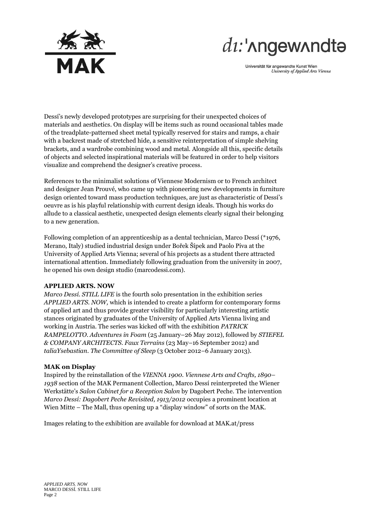

# $di:$ ' $\Lambda$ ngew $\Lambda$ ndt $\Theta$

Universität für angewandte Kunst Wien University of Applied Arts Vienna

Dessí's newly developed prototypes are surprising for their unexpected choices of materials and aesthetics. On display will be items such as round occasional tables made of the treadplate-patterned sheet metal typically reserved for stairs and ramps, a chair with a backrest made of stretched hide, a sensitive reinterpretation of simple shelving brackets, and a wardrobe combining wood and metal. Alongside all this, specific details of objects and selected inspirational materials will be featured in order to help visitors visualize and comprehend the designer's creative process.

References to the minimalist solutions of Viennese Modernism or to French architect and designer Jean Prouvé, who came up with pioneering new developments in furniture design oriented toward mass production techniques, are just as characteristic of Dessí's oeuvre as is his playful relationship with current design ideals. Though his works do allude to a classical aesthetic, unexpected design elements clearly signal their belonging to a new generation.

Following completion of an apprenticeship as a dental technician, Marco Dessí (\*1976, Merano, Italy) studied industrial design under Bořek Šípek and Paolo Piva at the University of Applied Arts Vienna; several of his projects as a student there attracted international attention. Immediately following graduation from the university in 2007, he opened his own design studio (marcodessi.com).

#### **APPLIED ARTS. NOW**

*Marco Dessí. STILL LIFE* is the fourth solo presentation in the exhibition series *APPLIED ARTS. NOW,* which is intended to create a platform for contemporary forms of applied art and thus provide greater visibility for particularly interesting artistic stances originated by graduates of the University of Applied Arts Vienna living and working in Austria. The series was kicked off with the exhibition *PATRICK RAMPELOTTO. Adventures in Foam* (25 January–26 May 2012), followed by *STIEFEL & COMPANY ARCHITECTS. Faux Terrains* (23 May–16 September 2012) and *taliaYsebastian. The Committee of Sleep* (3 October 2012–6 January 2013).

#### **MAK on Display**

Inspired by the reinstallation of the *VIENNA 1900. Viennese Arts and Crafts, 1890– 1938* section of the MAK Permanent Collection, Marco Dessí reinterpreted the Wiener Werkstätte's *Salon Cabinet for a Reception Salon* by Dagobert Peche. The intervention *Marco Dessí: Dagobert Peche Revisited, 1913/2012* occupies a prominent location at Wien Mitte – The Mall, thus opening up a "display window" of sorts on the MAK.

Images relating to the exhibition are available for download at [MAK.at/press](http://www.mak.at/presse)